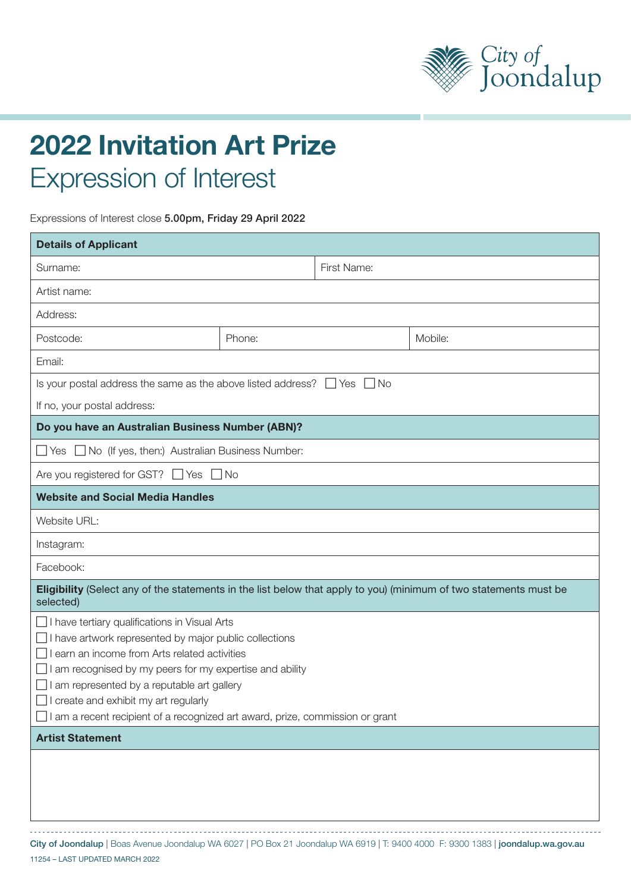

## 2022 Invitation Art Prize Expression of Interest

Expressions of Interest close 5.00pm, Friday 29 April 2022

| <b>Details of Applicant</b>                                                                                                                                                                                                                                                                                                                                                                |        |             |         |  |  |
|--------------------------------------------------------------------------------------------------------------------------------------------------------------------------------------------------------------------------------------------------------------------------------------------------------------------------------------------------------------------------------------------|--------|-------------|---------|--|--|
| Surname:                                                                                                                                                                                                                                                                                                                                                                                   |        | First Name: |         |  |  |
| Artist name:                                                                                                                                                                                                                                                                                                                                                                               |        |             |         |  |  |
| Address:                                                                                                                                                                                                                                                                                                                                                                                   |        |             |         |  |  |
| Postcode:                                                                                                                                                                                                                                                                                                                                                                                  | Phone: |             | Mobile: |  |  |
| Email:                                                                                                                                                                                                                                                                                                                                                                                     |        |             |         |  |  |
| Is your postal address the same as the above listed address? $\Box$ Yes $\Box$ No                                                                                                                                                                                                                                                                                                          |        |             |         |  |  |
| If no, your postal address:                                                                                                                                                                                                                                                                                                                                                                |        |             |         |  |  |
| Do you have an Australian Business Number (ABN)?                                                                                                                                                                                                                                                                                                                                           |        |             |         |  |  |
| □ Yes □ No (If yes, then:) Australian Business Number:                                                                                                                                                                                                                                                                                                                                     |        |             |         |  |  |
| Are you registered for GST? $\Box$ Yes $\Box$ No                                                                                                                                                                                                                                                                                                                                           |        |             |         |  |  |
| <b>Website and Social Media Handles</b>                                                                                                                                                                                                                                                                                                                                                    |        |             |         |  |  |
| Website URL:                                                                                                                                                                                                                                                                                                                                                                               |        |             |         |  |  |
| Instagram:                                                                                                                                                                                                                                                                                                                                                                                 |        |             |         |  |  |
| Facebook:                                                                                                                                                                                                                                                                                                                                                                                  |        |             |         |  |  |
| Eligibility (Select any of the statements in the list below that apply to you) (minimum of two statements must be<br>selected)                                                                                                                                                                                                                                                             |        |             |         |  |  |
| $\Box$ I have tertiary qualifications in Visual Arts<br>have artwork represented by major public collections<br>earn an income from Arts related activities<br>am recognised by my peers for my expertise and ability<br>am represented by a reputable art gallery<br>create and exhibit my art regularly<br>I am a recent recipient of a recognized art award, prize, commission or grant |        |             |         |  |  |
| <b>Artist Statement</b>                                                                                                                                                                                                                                                                                                                                                                    |        |             |         |  |  |
|                                                                                                                                                                                                                                                                                                                                                                                            |        |             |         |  |  |